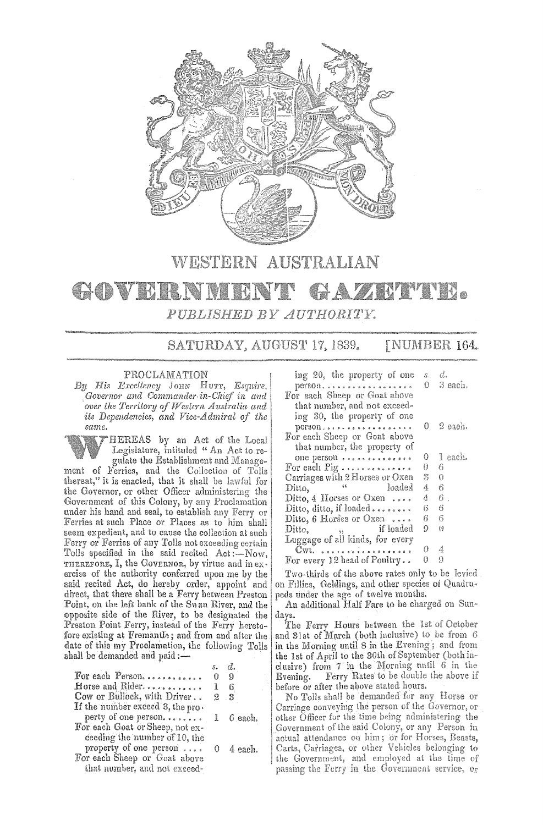

# WESTERN AUSTRALIAN

### **GADVRESNM** YAZEMMEK. 器式 PUBLISHED BY AUTHORITY.

SATURDAY, AUGUST 17, 1839. **[NUMBER 164.** 

## PROCLAMATION

By His Excellency JOHN HUTT, Esquire,<br>Governor and Commander in-Chief in and over the Territory of Western Australia and its Dependencies, and Vice-Admiral of the same.

HEREAS by an Act of the Local<br>Legislature, intituled "An Act to regulate the Establishment and Management of Ferries, and the Collection of Tolls thereat," it is enacted, that it shall be lawful for the Governor, or other Officer administering the Government of this Colony, by any Proclamation under his hand and seal, to establish any Ferry or Ferries at such Place or Places as to him shall seem expedient, and to cause the collection at such Ferry or Ferries of any Tolls not exceeding certain Tolls specified in the said recited Act:-Now, THEREFORE, I, the GOVERNOR, by virtue and in exercise of the authority conferred upon me by the said recited Act, do hereby order, appoint and direct, that there shall be a Ferry between Preston Point, on the left bank of the Swan River, and the opposite side of the River, to be designated the Preston Point Ferry, instead of the Ferry heretofore existing at Fremantle; and from and after the date of this my Proclamation, the following Tolls shall be demanded and paid :-

|                                  | s.           | А.       |
|----------------------------------|--------------|----------|
| For each Person                  | 0            | -9       |
| Horse and Rider                  | $\mathbb{R}$ | -6       |
| Cow or Bullock, with Driver      |              | $2-3$    |
| If the number exceed 3, the pro- |              |          |
| perty of one person 1 6 each     |              |          |
| For each Goat or Sheep, not ex-  |              |          |
| ceeding the number of 10, the    |              |          |
| property of one person           |              | 0 4 each |
| For each Sheep or Goat above     |              |          |
| that number, and not exceed-     |              |          |

| ing 20, the property of one<br>person<br>For each Sheep or Goat above                                                                 |        | s. d.<br>$0 \quad 3$ each. |
|---------------------------------------------------------------------------------------------------------------------------------------|--------|----------------------------|
| that number, and not exceed-<br>ing 30, the property of one<br>person<br>For each Sheep or Goat above<br>that number, the property of |        | $0 \quad 2$ each.          |
| one person<br>For each Pig                                                                                                            | 0<br>0 | 1 each.<br>6               |
| Carriages with 2 Horses or Oxen<br>a loaded<br>Ditto,                                                                                 | S<br>4 | 0<br>6                     |
| Ditto, $4$ Horses or Oxen<br>Ditto, ditto, if loaded                                                                                  | 4<br>6 | 6.<br>6                    |
| Ditto, 6 Horses or Oxen $\ldots$<br><sup>1</sup> , if loaded<br>Ditto,                                                                | 6<br>9 | 6<br>仔                     |
| Luggage of all kinds, for every<br>UWt.                                                                                               | 0      | 4                          |
| For every $12$ head of Poultry                                                                                                        | 0      | 9                          |

Two-thirds of the above rates only to be levied on Fillies, Geldings, and other species of Quadrupeds under the age of twelve months.

An additional Half Fare to be charged on Sundays.

The Ferry Hours between the 1st of October and 31st of March (both inclusive) to be from 6 in the Morning until 8 in the Evening; and from the 1st of April to the 30th of September (both inclusive) from  $7$  in the Morning until  $6$  in the Evening. Ferry Rates to be double the above if Evening. before or after the above stated hours.

No Tolls shall be demanded for any Horse or Carriage conveying the person of the Governor, or other Officer for the time being administering the Government of the said Colony, or any Person in actual attendance on him; or for Horses, Beasts, Carts, Carriages, or other Vehicles belonging to the Government, and employed at the time of passing the Ferry in the Government service, or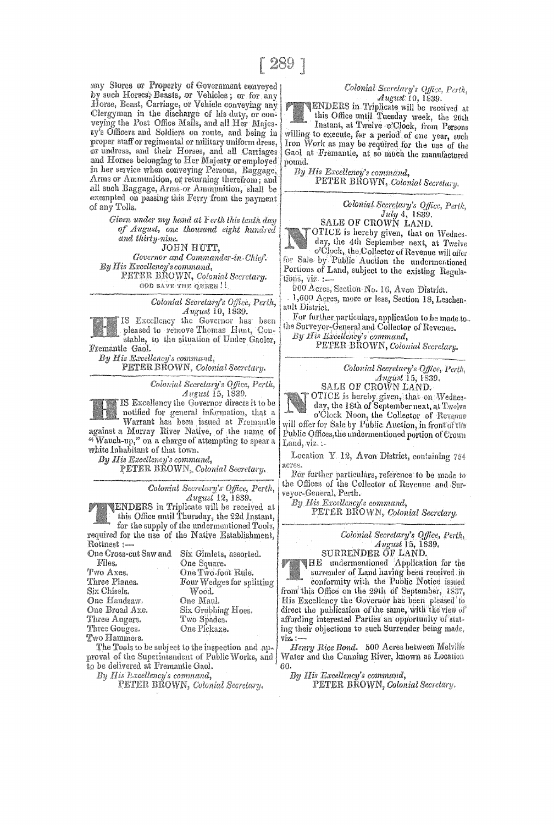any Stores or Property of Government conveyed by such Horses, Beasts, or Vehicles; or for any Horse, Beast, Carriage, or Vehicle conveying any Clergyman in the discharge of his duty, or conveying the Post Office Mails, and all Her Majesty's Officers and Soldiers on route, and being in proper staff or regimental or military uniform dress, or undress, and their Horses, and all Carriages and Horses belonging to Her Majesty or employed in her service when conveying Persons, Baggage, Arms or Ammunition, or returning therefrom; and all such Baggage, Arms or Ammunition, shall be exempted on passing this Ferry from the payment of any Tolls.

> Given under my hand at Ferth this tenth day of August, one thousand eight hundred and thirty-nine.

**JOHN HUTT.** Governor and Commander-in-Chief. By His Excellency's command, PETER BROWN, Colonial Secretary. GOD SAVE THE QUEEN!!

> Colonial Secretary's Office, Perth, August 10, 1839.

IS Excellency the Governor has been pleased to remove Thomas Hunt, Constable, to the situation of Under Gaoler, Fremantle Gaol.

By His Excellency's command, PETER BROWN, Colonial Secretary.

Colonial Secretary's Office, Perth, August 15, 1839.

IS Excellency the Governor directs it to be notified for general information, that a Warrant has been issued at Fremantle against a Murray River Native, of the name of "Wauch-up," on a charge of attempting to spear a white Inhabitant of that town.

By His Excellency's command,

PETER BROWN, Colonial Secretary.

Colonial Secretary's Office, Perth, August 12, 1839.

**ENDERS** in Triplicate will be received at this Office until Thursday, the 22d Instant, for the supply of the undermentioned Tools, required for the use of the Native Establishment, Rottnest:-

One Cross-cut Saw and Six Gimlets, assorted. Files. One Square. Two Axes. One Two-foot Rule. Three Planes. Four Wedges for splitting Six Chisels. Wood. One Handsaw. One Maul. One Broad Axe. Six Grubbing Hoes. Three Augers. Two Spades. Three Gouges. One Pickaxe.

Two Hammers. The Tools to be subject to the inspection and approval of the Superintendent of Public Works, and

to be delivered at Fremantle Gaol. By His Excellency's command,

PETER BROWN, Colonial Secretary.

## Colonial Secretary's Office, Perth, August 10, 1839.

ENDERS in Triplicate will be received at this Office until Tuesday week, the 20th Instant, at Twelve -o'Clock, from Persons willing to execute, for a period of one year, such Iron Work as may be required for the use of the

Gaol at Fremantle, at so much the manufactured pound. By His Excellency's command,

PETER BROWN, Colonial Secretary.

Colonial Secretary's Office, Perth, July 4, 1839.<br>SALE OF CROWN LAND.

OTICE is hereby given, that on Wednesday, the 4th September next, at Twelve o'Clock, the Collector of Revenue will offer for Sale by Public Auction the undermentioned Portions of Land, subject to the existing Regulations, viz. : ...

900 Acres, Section No. 16, Avon District.

1,600 Acres, more or less, Section 18, Leschenault District.

For further particulars, application to be made to. the Surveyor-General and Collector of Revenue.

By His Excellency's command,

PETER-BROWN, Colonial Secretary.

Colonial Secretary's Office, Perth,

SALE OF CROWN LAND. OTICE is hereby given, that on Wednesday, the 18th of September next, at Twelve o'Clock Noon, the Collector of Revenue will offer for Sale by Public Auction, in front of the Public Offices, the undermentioned portion of Crown Land, viz. :-

Location Y 12, Avon District, containing 754 acres

For further particulars, reference to be made to the Offices of the Collector of Revenue and Surveyor-General, Perth.

By His Excellency's command,

PETER BROWN, Colonial Secretary.

Colonial Secretary's Office, Perth,<br>August 15, 1839. SURRENDER OF LAND.

HE undermentioned Application for the surrender of Land having been received in conformity with the Public Notice issued from this Office on the 29th of September, 1837, His Excellency the Governor has been pleased to direct the publication of the same, with the view of affording interested Parties an opportunity of stating their objections to such Surrender being made, viz. :-

Henry Rice Bond. 500 Acres between Melville Water and the Canning River, known as Location 60

By His Excellency's command, PETER BROWN, Colonial Secretary.